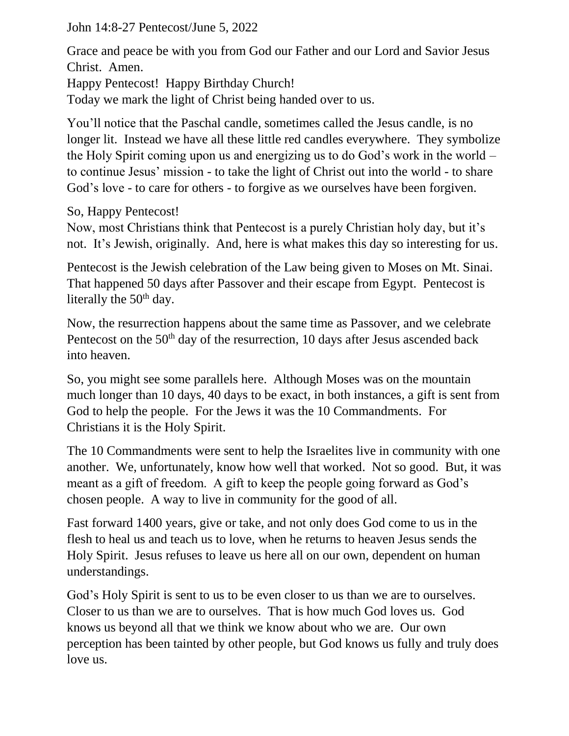John 14:8-27 Pentecost/June 5, 2022

Grace and peace be with you from God our Father and our Lord and Savior Jesus Christ. Amen.

Happy Pentecost! Happy Birthday Church!

Today we mark the light of Christ being handed over to us.

You'll notice that the Paschal candle, sometimes called the Jesus candle, is no longer lit. Instead we have all these little red candles everywhere. They symbolize the Holy Spirit coming upon us and energizing us to do God's work in the world – to continue Jesus' mission - to take the light of Christ out into the world - to share God's love - to care for others - to forgive as we ourselves have been forgiven.

So, Happy Pentecost!

Now, most Christians think that Pentecost is a purely Christian holy day, but it's not. It's Jewish, originally. And, here is what makes this day so interesting for us.

Pentecost is the Jewish celebration of the Law being given to Moses on Mt. Sinai. That happened 50 days after Passover and their escape from Egypt. Pentecost is literally the 50<sup>th</sup> day.

Now, the resurrection happens about the same time as Passover, and we celebrate Pentecost on the  $50<sup>th</sup>$  day of the resurrection, 10 days after Jesus ascended back into heaven.

So, you might see some parallels here. Although Moses was on the mountain much longer than 10 days, 40 days to be exact, in both instances, a gift is sent from God to help the people. For the Jews it was the 10 Commandments. For Christians it is the Holy Spirit.

The 10 Commandments were sent to help the Israelites live in community with one another. We, unfortunately, know how well that worked. Not so good. But, it was meant as a gift of freedom. A gift to keep the people going forward as God's chosen people. A way to live in community for the good of all.

Fast forward 1400 years, give or take, and not only does God come to us in the flesh to heal us and teach us to love, when he returns to heaven Jesus sends the Holy Spirit. Jesus refuses to leave us here all on our own, dependent on human understandings.

God's Holy Spirit is sent to us to be even closer to us than we are to ourselves. Closer to us than we are to ourselves. That is how much God loves us. God knows us beyond all that we think we know about who we are. Our own perception has been tainted by other people, but God knows us fully and truly does love us.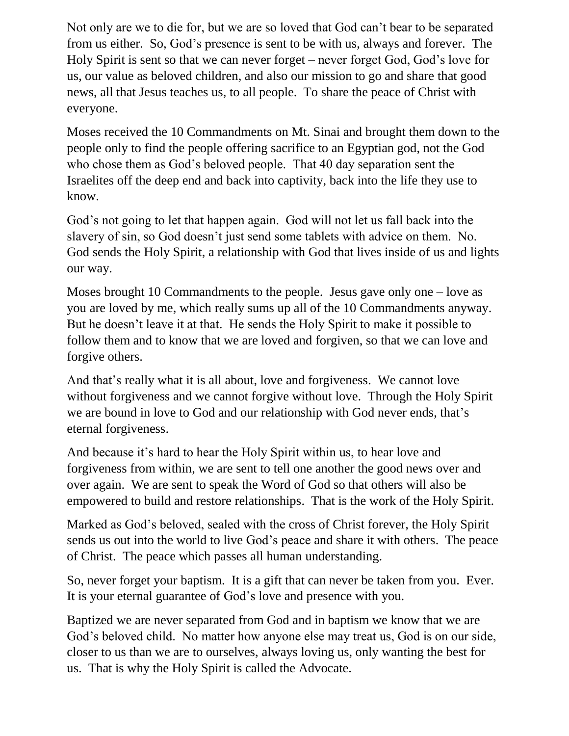Not only are we to die for, but we are so loved that God can't bear to be separated from us either. So, God's presence is sent to be with us, always and forever. The Holy Spirit is sent so that we can never forget – never forget God, God's love for us, our value as beloved children, and also our mission to go and share that good news, all that Jesus teaches us, to all people. To share the peace of Christ with everyone.

Moses received the 10 Commandments on Mt. Sinai and brought them down to the people only to find the people offering sacrifice to an Egyptian god, not the God who chose them as God's beloved people. That 40 day separation sent the Israelites off the deep end and back into captivity, back into the life they use to know.

God's not going to let that happen again. God will not let us fall back into the slavery of sin, so God doesn't just send some tablets with advice on them. No. God sends the Holy Spirit, a relationship with God that lives inside of us and lights our way.

Moses brought 10 Commandments to the people. Jesus gave only one – love as you are loved by me, which really sums up all of the 10 Commandments anyway. But he doesn't leave it at that. He sends the Holy Spirit to make it possible to follow them and to know that we are loved and forgiven, so that we can love and forgive others.

And that's really what it is all about, love and forgiveness. We cannot love without forgiveness and we cannot forgive without love. Through the Holy Spirit we are bound in love to God and our relationship with God never ends, that's eternal forgiveness.

And because it's hard to hear the Holy Spirit within us, to hear love and forgiveness from within, we are sent to tell one another the good news over and over again. We are sent to speak the Word of God so that others will also be empowered to build and restore relationships. That is the work of the Holy Spirit.

Marked as God's beloved, sealed with the cross of Christ forever, the Holy Spirit sends us out into the world to live God's peace and share it with others. The peace of Christ. The peace which passes all human understanding.

So, never forget your baptism. It is a gift that can never be taken from you. Ever. It is your eternal guarantee of God's love and presence with you.

Baptized we are never separated from God and in baptism we know that we are God's beloved child. No matter how anyone else may treat us, God is on our side, closer to us than we are to ourselves, always loving us, only wanting the best for us. That is why the Holy Spirit is called the Advocate.